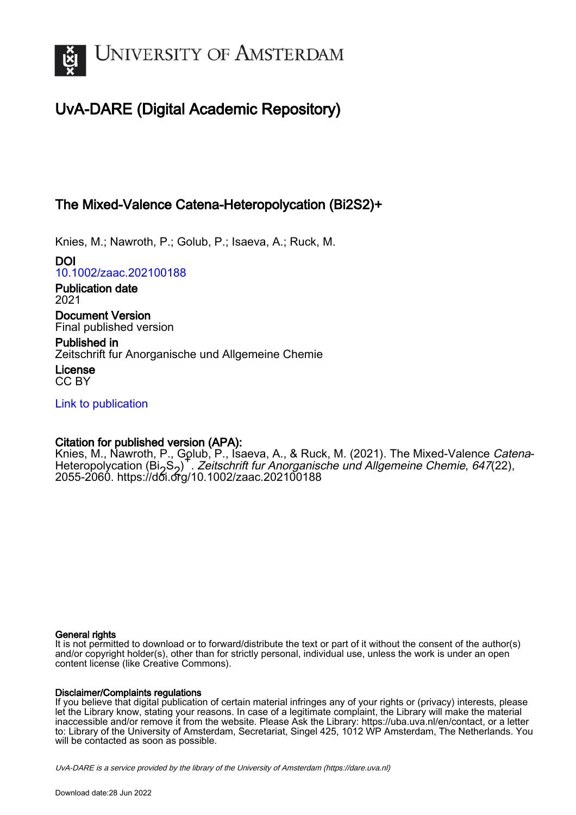

# UvA-DARE (Digital Academic Repository)

# The Mixed-Valence Catena-Heteropolycation (Bi2S2)+

Knies, M.; Nawroth, P.; Golub, P.; Isaeva, A.; Ruck, M.

DOI [10.1002/zaac.202100188](https://doi.org/10.1002/zaac.202100188)

Publication date 2021

Document Version Final published version

Published in Zeitschrift fur Anorganische und Allgemeine Chemie

License CC BY

[Link to publication](https://dare.uva.nl/personal/pure/en/publications/the-mixedvalence-catenaheteropolycation-bi2s2(a9987f77-a384-4f9c-b0ac-c1d7d43dcfb7).html)

# Citation for published version (APA):

Knies, M., Nawroth, P., Golub, P., Isaeva, A., & Ruck, M. (2021). The Mixed-Valence *Catena*-Rrilles, M., Nawrolli, P., Gpidb, P., Isaeva, A., & Ruck, M. (2021). The Mixed-Valerice Cale<br>Heteropolycation (Bi<sub>2</sub>S<sub>2</sub>) . *Zeitschrift fur Anorganische und Allgemeine Chemie, 647*(22),<br>2055-2060, https://d&i.co/10.1002/z 2055-2060. https://d*6*i.*o*rg/10.1002/zaac.202100188

#### General rights

It is not permitted to download or to forward/distribute the text or part of it without the consent of the author(s) and/or copyright holder(s), other than for strictly personal, individual use, unless the work is under an open content license (like Creative Commons).

#### Disclaimer/Complaints regulations

If you believe that digital publication of certain material infringes any of your rights or (privacy) interests, please let the Library know, stating your reasons. In case of a legitimate complaint, the Library will make the material inaccessible and/or remove it from the website. Please Ask the Library: https://uba.uva.nl/en/contact, or a letter to: Library of the University of Amsterdam, Secretariat, Singel 425, 1012 WP Amsterdam, The Netherlands. You will be contacted as soon as possible.

UvA-DARE is a service provided by the library of the University of Amsterdam (http*s*://dare.uva.nl)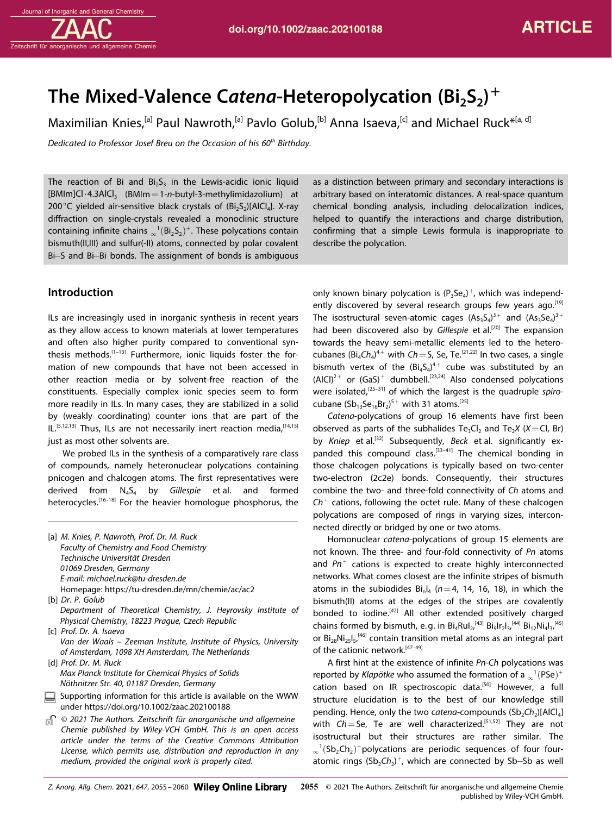# **The Mixed-Valence Catena-Heteropolycation** (Bi<sub>2</sub>S<sub>2</sub>)<sup>+</sup>

Maximilian Knies,<sup>[a]</sup> Paul Nawroth,<sup>[a]</sup> Paylo [Golub](http://orcid.org/0000-0003-0834-4281),<sup>[b]</sup> Anna [Isaeva,](http://orcid.org/0000-0001-6590-1393)<sup>[c]</sup> and [Michael](http://orcid.org/0000-0002-2391-6025) Ruck\*<sup>[a, d]</sup>

*Dedicated to Professor Josef Breu on the Occasion of his 60th Birthday.*

The reaction of Bi and  $Bi<sub>2</sub>S<sub>3</sub>$  in the Lewis-acidic ionic liquid [BMIm]Cl ·4.3AlCl3 (BMIm=1-*n*-butyl-3-methylimidazolium) at 200 $^{\circ}$ C yielded air-sensitive black crystals of (Bi<sub>2</sub>S<sub>2</sub>)[AlCl<sub>4</sub>]. X-ray diffraction on single-crystals revealed a monoclinic structure containing infinite chains  ${}_{\infty}^{-1}({\sf Bi}_2{\sf S}_2)^+$ . These polycations contain bismuth(II,III) and sulfur(-II) atoms, connected by polar covalent Bi-S and Bi-Bi bonds. The assignment of bonds is ambiguous

## **Introduction**

Journal of Inorganic and General Chemistry

zine Chei

ILs are increasingly used in inorganic synthesis in recent years as they allow access to known materials at lower temperatures and often also higher purity compared to conventional synthesis methods.<sup>[1-13]</sup> Furthermore, ionic liquids foster the formation of new compounds that have not been accessed in other reaction media or by solvent-free reaction of the constituents. Especially complex ionic species seem to form more readily in ILs. In many cases, they are stabilized in a solid by (weakly coordinating) counter ions that are part of the IL.<sup>[5,12,13]</sup> Thus, ILs are not necessarily inert reaction media,  $[14,15]$ just as most other solvents are.

We probed ILs in the synthesis of a comparatively rare class of compounds, namely heteronuclear polycations containing pnicogen and chalcogen atoms. The first representatives were derived from N4S4 by *Gillespie* et al. and formed heterocycles.[16–18] For the heavier homologue phosphorus, the

[a] *M. Knies, P. Nawroth, Prof. Dr. M. Ruck Faculty of Chemistry and Food Chemistry Technische Universität Dresden 01069 Dresden, Germany E-mail: michael.ruck@tu-dresden.de* Homepage: <https://tu-dresden.de/mn/chemie/ac/ac2> [b] *Dr. P. Golub*

*Department of Theoretical Chemistry, J. Heyrovsky Institute of Physical Chemistry, 18223 Prague, Czech Republic*

[c] *Prof. Dr. A. Isaeva Van der Waals – Zeeman Institute, Institute of Physics, University of Amsterdam, 1098 XH Amsterdam, The Netherlands*

- [d] *Prof. Dr. M. Ruck Max Planck Institute for Chemical Physics of Solids Nöthnitzer Str. 40, 01187 Dresden, Germany*
- $\Box$  Supporting information for this article is available on the WWW under <https://doi.org/10.1002/zaac.202100188>
- *© 2021 The Authors. Zeitschrift für anorganische und allgemeine Chemie published by Wiley-VCH GmbH. This is an open access article under the terms of the Creative Commons Attribution License, which permits use, distribution and reproduction in any medium, provided the original work is properly cited.*

as a distinction between primary and secondary interactions is arbitrary based on interatomic distances. A real-space quantum chemical bonding analysis, including delocalization indices, helped to quantify the interactions and charge distribution, confirming that a simple Lewis formula is inappropriate to describe the polycation.

only known binary polycation is  $(P_3Se_4)^+$ , which was independently discovered by several research groups few years ago.<sup>[19]</sup> The isostructural seven-atomic cages  $(As_3S_4)^{3+}$  and  $(As_3Se_4)^{3+}$ had been discovered also by *Gillespie* et al.<sup>[20]</sup> The expansion towards the heavy semi-metallic elements led to the heterocubanes  $(Bi_4Ch_4)^{4+}$  with  $Ch = S$ , Se, Te.<sup>[21,22]</sup> In two cases, a single bismuth vertex of the  $(Bi_4S_4)^{4+}$  cube was substituted by an  $(A|C|)^{2+}$  or  $(GaS)^+$  dumbbell.<sup>[23,24]</sup> Also condensed polycations were isolated,[25–31] of which the largest is the quadruple *spiro*cubane  $(Sb_{13}Se_{16}Br_2)^{5+}$  with 31 atoms.<sup>[25]</sup>

*Catena*-polycations of group 16 elements have first been observed as parts of the subhalides  $Te<sub>3</sub>Cl<sub>2</sub>$  and  $Te<sub>2</sub>X$  (*X* = Cl, Br) by *Kniep* et al.<sup>[32]</sup> Subsequently, *Beck* et al. significantly expanded this compound class.<sup>[33–41]</sup> The chemical bonding in those chalcogen polycations is typically based on two-center two-electron (2c2e) bonds. Consequently, their structures combine the two- and three-fold connectivity of *Ch* atoms and *Ch*<sup>+</sup> cations, following the octet rule. Many of these chalcogen polycations are composed of rings in varying sizes, interconnected directly or bridged by one or two atoms.

Homonuclear *catena*-polycations of group 15 elements are not known. The three- and four-fold connectivity of *Pn* atoms and *Pn*<sup>+</sup> cations is expected to create highly interconnected networks. What comes closest are the infinite stripes of bismuth atoms in the subiodides  $Bi<sub>n</sub>l<sub>4</sub>$  ( $n=4$ , 14, 16, 18), in which the bismuth(II) atoms at the edges of the stripes are covalently bonded to iodine.<sup>[42]</sup> All other extended positively charged chains formed by bismuth, e.g. in  $Bi_4RuI_2^{[43]} Bi_9Ir_2I_3^{[44]} Bi_{12}Ni_4I_3^{[45]}$ or  $Bi_{28}Ni_{25}I_5$ <sup>[46]</sup> contain transition metal atoms as an integral part of the cationic network.<sup>[47-49]</sup>

A first hint at the existence of infinite *Pn*-*Ch* polycations was reported by *Klapötke* who assumed the formation of a  $\omega^1(PSe)^+$ cation based on IR spectroscopic data.<sup>[50]</sup> However, a full structure elucidation is to the best of our knowledge still pending. Hence, only the two catena-compounds (Sb<sub>2</sub>Ch<sub>2</sub>)[AlCl<sub>4</sub>] with *Ch*=Se, Te are well characterized.<sup>[51,52]</sup> They are not isostructural but their structures are rather similar. The  $\sim$ <sup>1</sup>(Sb<sub>2</sub>Ch<sub>2</sub>)<sup>+</sup>polycations are periodic sequences of four fouratomic rings (Sb<sub>2</sub>Ch<sub>2</sub>)<sup>+</sup>, which are connected by Sb-Sb as well

*Z. Anorg. Allg. Chem.* **2021**, *647*, 2055–2060 **2055** © 2021 The Authors. Zeitschrift für anorganische und allgemeine Chemie published by Wiley-VCH GmbH.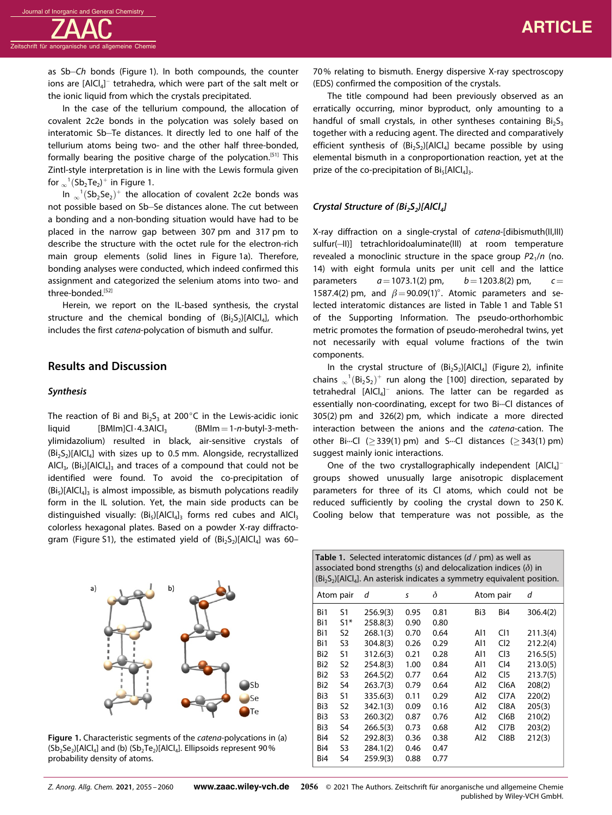

as Sb-Ch bonds (Figure 1). In both compounds, the counter ions are [AlCl<sub>4</sub>]<sup>-</sup> tetrahedra, which were part of the salt melt or the ionic liquid from which the crystals precipitated.

In the case of the tellurium compound, the allocation of covalent 2c2e bonds in the polycation was solely based on interatomic Sb-Te distances. It directly led to one half of the tellurium atoms being two- and the other half three-bonded, formally bearing the positive charge of the polycation.[51] This Zintl-style interpretation is in line with the Lewis formula given for  ${}_{\infty}^{-1}({\mathsf{S}}{\mathsf{b}}_2{\mathsf{T}}{\mathsf{e}}_2)^+$  in Figure 1.

In  $_{\infty}^{-1}$ (Sb<sub>2</sub>Se<sub>2</sub>)<sup>+</sup> the allocation of covalent 2c2e bonds was not possible based on Sb-Se distances alone. The cut between a bonding and a non-bonding situation would have had to be placed in the narrow gap between 307 pm and 317 pm to describe the structure with the octet rule for the electron-rich main group elements (solid lines in Figure 1a). Therefore, bonding analyses were conducted, which indeed confirmed this assignment and categorized the selenium atoms into two- and three-bonded.<sup>[52]</sup>

Herein, we report on the IL-based synthesis, the crystal structure and the chemical bonding of  $(Bi_2S_2)[A|C_4]$ , which includes the first *catena*-polycation of bismuth and sulfur.

## **Results and Discussion**

#### *Synthesis*

The reaction of Bi and  $Bi<sub>2</sub>S<sub>3</sub>$  at 200°C in the Lewis-acidic ionic liquid [BMIm]Cl · 4.3AlCl<sub>3</sub> (BMIm = 1-*n*-butyl-3-methylimidazolium) resulted in black, air-sensitive crystals of  $(Bi<sub>2</sub>S<sub>2</sub>)[A|Cl<sub>4</sub>]$  with sizes up to 0.5 mm. Alongside, recrystallized  $AICI<sub>3</sub>$ ,  $(Bi<sub>5</sub>)[AICI<sub>4</sub>]<sub>3</sub>$  and traces of a compound that could not be identified were found. To avoid the co-precipitation of  $(Bi<sub>5</sub>)[A|C|<sub>4</sub>]$ <sub>3</sub> is almost impossible, as bismuth polycations readily form in the IL solution. Yet, the main side products can be distinguished visually:  $(Bi<sub>5</sub>)[AICl<sub>4</sub>]$  forms red cubes and  $AICl<sub>3</sub>$ colorless hexagonal plates. Based on a powder X-ray diffractogram (Figure S1), the estimated yield of  $(Bi<sub>2</sub>S<sub>2</sub>)[AlCl<sub>4</sub>]$  was 60–



**Figure 1.** Characteristic segments of the *catena*-polycations in (a)  $(Sb_2Se_2)[AlCl_4]$  and (b)  $(Sb_2Te_2)[AlCl_4]$ . Ellipsoids represent 90% probability density of atoms.

70% relating to bismuth. Energy dispersive X-ray spectroscopy (EDS) confirmed the composition of the crystals.

The title compound had been previously observed as an erratically occurring, minor byproduct, only amounting to a handful of small crystals, in other syntheses containing  $Bi<sub>2</sub>S<sub>3</sub>$ together with a reducing agent. The directed and comparatively efficient synthesis of  $(Bi<sub>2</sub>S<sub>2</sub>)[AICl<sub>4</sub>]$  became possible by using elemental bismuth in a conproportionation reaction, yet at the prize of the co-precipitation of  $Bi_5[A|Cl_4]_3$ .

#### *Crystal Structure of*  $(Bi_2S_2)[AICI_4]$

X-ray diffraction on a single-crystal of *catena*-[dibismuth(II,III) sulfur(-II)] tetrachloridoaluminate(III) at room temperature revealed a monoclinic structure in the space group  $P2_1/n$  (no. 14) with eight formula units per unit cell and the lattice parameters *a*=1073.1(2) pm, *b*=1203.8(2) pm, *c*= 1587.4(2) pm, and  $\beta = 90.09(1)^\circ$ . Atomic parameters and selected interatomic distances are listed in Table 1 and Table S1 of the Supporting Information. The pseudo-orthorhombic metric promotes the formation of pseudo-merohedral twins, yet not necessarily with equal volume fractions of the twin components.

In the crystal structure of  $(Bi<sub>2</sub>S<sub>2</sub>)[A|Cl<sub>4</sub>]$  (Figure 2), infinite chains  $\omega^1(Bi_2S_2)^+$  run along the [100] direction, separated by  $tetrahedral$   $[AlCl<sub>4</sub>]<sup>-</sup>$  anions. The latter can be regarded as essentially non-coordinating, except for two Bi···Cl distances of 305(2) pm and 326(2) pm, which indicate a more directed interaction between the anions and the *catena*-cation. The other Bi-··Cl  $(>339(1)$  pm) and S-··Cl distances  $(>343(1)$  pm) suggest mainly ionic interactions.

One of the two crystallographically independent  $[AlCl<sub>4</sub>]$ groups showed unusually large anisotropic displacement parameters for three of its Cl atoms, which could not be reduced sufficiently by cooling the crystal down to 250 K. Cooling below that temperature was not possible, as the

| <b>Table 1.</b> Selected interatomic distances (d / pm) as well as<br>associated bond strengths (s) and delocalization indices ( $\delta$ ) in<br>(Bi <sub>2</sub> S <sub>2</sub> )[AlCl <sub>4</sub> ]. An asterisk indicates a symmetry equivalent position. |                         |                                                                                                                                                                                                                                                                  |                                                                                                      |                                                                                                          |                                                                                                                                                      |                                                                                                                                  |  |  |  |  |  |
|----------------------------------------------------------------------------------------------------------------------------------------------------------------------------------------------------------------------------------------------------------------|-------------------------|------------------------------------------------------------------------------------------------------------------------------------------------------------------------------------------------------------------------------------------------------------------|------------------------------------------------------------------------------------------------------|----------------------------------------------------------------------------------------------------------|------------------------------------------------------------------------------------------------------------------------------------------------------|----------------------------------------------------------------------------------------------------------------------------------|--|--|--|--|--|
| Atom pair                                                                                                                                                                                                                                                      | d                       | S                                                                                                                                                                                                                                                                | δ                                                                                                    |                                                                                                          | Atom pair                                                                                                                                            | d                                                                                                                                |  |  |  |  |  |
| Bi1<br>S1<br>Bi1<br>Bi1<br>S3<br>Bi1<br>S1<br>Bi <sub>2</sub><br>S <sub>2</sub><br>Bi <sub>2</sub><br>Bi <sub>2</sub><br>S3<br>S4<br>Bi <sub>2</sub><br>S1<br>Bi3<br>S <sub>2</sub><br>Bi3<br>Bi3<br>S3<br>S4<br>Bi3<br>S <sub>2</sub><br>Bi4                  | $51*$<br>S <sub>2</sub> | 256.9(3)<br>0.95<br>258.8(3)<br>0.90<br>268.1(3)<br>0.70<br>304.8(3)<br>0.26<br>312.6(3)<br>0.21<br>254.8(3)<br>1.00<br>264.5(2)<br>0.77<br>263.7(3)<br>0.79<br>335.6(3)<br>0.11<br>342.1(3)<br>0.09<br>260.3(2)<br>0.87<br>266.5(3)<br>0.73<br>292.8(3)<br>0.36 | 0.81<br>0.80<br>0.64<br>0.29<br>0.28<br>0.84<br>0.64<br>0.64<br>0.29<br>0.16<br>0.76<br>0.68<br>0.38 | Bi3<br>Al1<br>AI1<br>AI1<br>Al1<br>AI2<br>Al <sub>2</sub><br>AI2<br>AI2<br>AI2<br>Al <sub>2</sub><br>AI2 | Bi4<br>Cl1<br>Cl <sub>2</sub><br>C <sub>3</sub><br>CI4<br>C <sub>15</sub><br>Cl6A<br>Cl7A<br>CI8A<br>$C$ <sub>6</sub> B<br>Cl7B<br>C <sub>18</sub> B | 306.4(2)<br>211.3(4)<br>212.2(4)<br>216.5(5)<br>213.0(5)<br>213.7(5)<br>208(2)<br>220(2)<br>205(3)<br>210(2)<br>203(2)<br>212(3) |  |  |  |  |  |
| S3<br>Bi4<br>S4<br>Bi4                                                                                                                                                                                                                                         |                         | 284.1(2)<br>0.46<br>259.9(3)<br>0.88                                                                                                                                                                                                                             | 0.47<br>0.77                                                                                         |                                                                                                          |                                                                                                                                                      |                                                                                                                                  |  |  |  |  |  |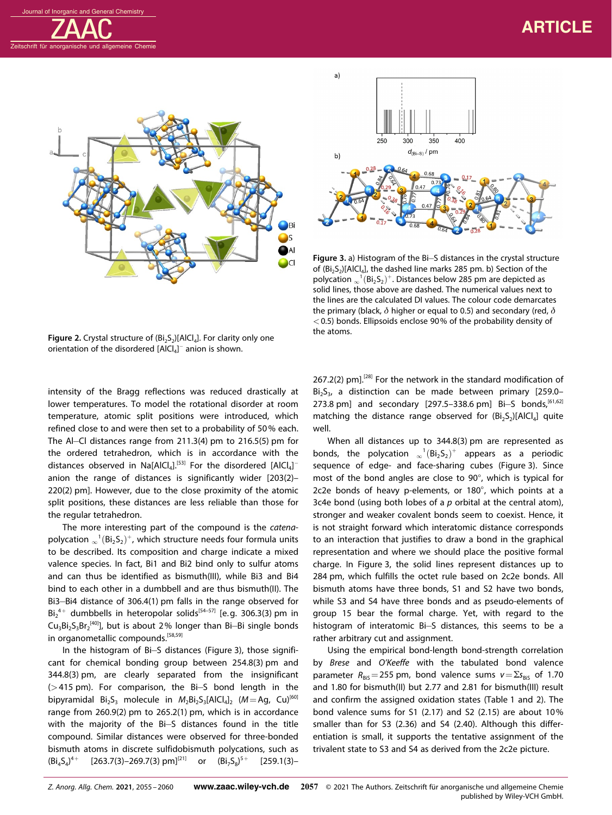





**Figure 3.** a) Histogram of the Bi-S distances in the crystal structure of  $(Bi_2S_2)[A|C_4]$ , the dashed line marks 285 pm. b) Section of the polycation  $\omega^1(\text{Bi}_2\text{S}_2)^+$ . Distances below 285 pm are depicted as solid lines, those above are dashed. The numerical values next to the lines are the calculated DI values. The colour code demarcates the primary (black, *δ* higher or equal to 0.5) and secondary (red, *δ <*0.5) bonds. Ellipsoids enclose 90% of the probability density of the atoms.

**Figure 2.** Crystal structure of (Bi<sub>2</sub>S<sub>2</sub>)[AlCl<sub>4</sub>]. For clarity only one orientation of the disordered  $[AlCl<sub>4</sub>]<sup>-</sup>$  anion is shown.

intensity of the Bragg reflections was reduced drastically at lower temperatures. To model the rotational disorder at room temperature, atomic split positions were introduced, which refined close to and were then set to a probability of 50% each. The Al-Cl distances range from 211.3(4) pm to 216.5(5) pm for the ordered tetrahedron, which is in accordance with the distances observed in  $Na[AlCl<sub>4</sub>]<sup>[53]</sup>$  For the disordered  $[AlCl<sub>4</sub>]$ anion the range of distances is significantly wider [203(2)– 220(2) pm]. However, due to the close proximity of the atomic split positions, these distances are less reliable than those for the regular tetrahedron.

The more interesting part of the compound is the *catena*polycation  ${}_{\infty}^{-1}({\sf Bi}_2{\sf S}_2)^+$ , which structure needs four formula units to be described. Its composition and charge indicate a mixed valence species. In fact, Bi1 and Bi2 bind only to sulfur atoms and can thus be identified as bismuth(III), while Bi3 and Bi4 bind to each other in a dumbbell and are thus bismuth(II). The Bi3-Bi4 distance of 306.4(1) pm falls in the range observed for  $Bi_2^{4+}$  dumbbells in heteropolar solids<sup>[54-57]</sup> [e.g. 306.3(3) pm in  $\textsf{Cu}_3\textsf{Bi}_2\textsf{S}_3\textsf{Br}_2^{[40]}$ , but is about 2% longer than Bi–Bi single bonds in organometallic compounds.<sup>[58,59]</sup>

In the histogram of Bi-S distances (Figure 3), those significant for chemical bonding group between 254.8(3) pm and 344.8(3) pm, are clearly separated from the insignificant (>415 pm). For comparison, the Bi-S bond length in the bipyramidal Bi<sub>2</sub>S<sub>3</sub> molecule in  $M_2B_1S_3[AlCl_4]$ <sub>2</sub> ( $M = Ag$ , Cu)<sup>[60]</sup> range from 260.9(2) pm to 265.2(1) pm, which is in accordance with the majority of the  $Bi-5$  distances found in the title compound. Similar distances were observed for three-bonded bismuth atoms in discrete sulfidobismuth polycations, such as  $(Bi_{4}S_{4})^{4+}$  $[263.7(3)-269.7(3)$  pm]<sup>[21]</sup> or  $(Bi_7S_8)^{5+}$  $[259.1(3)-]$ 

 $267.2(2)$  pm].<sup>[28]</sup> For the network in the standard modification of  $Bi<sub>2</sub>S<sub>3</sub>$ , a distinction can be made between primary [259.0– 273.8 pm] and secondary [297.5-338.6 pm] Bi-S bonds, [61,62] matching the distance range observed for  $(Bi<sub>2</sub>S<sub>2</sub>)[A|Cl<sub>4</sub>]$  quite well.

When all distances up to 344.8(3) pm are represented as bonds, the polycation  $\omega^1(\text{Bi}_2\text{S}_2)^+$  appears as a periodic sequence of edge- and face-sharing cubes (Figure 3). Since most of the bond angles are close to 90°, which is typical for 2c2e bonds of heavy p-elements, or 180°, which points at a 3c4e bond (using both lobes of a *p* orbital at the central atom), stronger and weaker covalent bonds seem to coexist. Hence, it is not straight forward which interatomic distance corresponds to an interaction that justifies to draw a bond in the graphical representation and where we should place the positive formal charge. In Figure 3, the solid lines represent distances up to 284 pm, which fulfills the octet rule based on 2c2e bonds. All bismuth atoms have three bonds, S1 and S2 have two bonds, while S3 and S4 have three bonds and as pseudo-elements of group 15 bear the formal charge. Yet, with regard to the histogram of interatomic Bi-S distances, this seems to be a rather arbitrary cut and assignment.

Using the empirical bond-length bond-strength correlation by *Brese* and *O'Keeffe* with the tabulated bond valence parameter  $R_{\text{Bis}}=255$  pm, bond valence sums  $v=\sum s_{\text{Bis}}$  of 1.70 and 1.80 for bismuth(II) but 2.77 and 2.81 for bismuth(III) result and confirm the assigned oxidation states (Table 1 and 2). The bond valence sums for S1 (2.17) and S2 (2.15) are about 10% smaller than for S3 (2.36) and S4 (2.40). Although this differentiation is small, it supports the tentative assignment of the trivalent state to S3 and S4 as derived from the 2c2e picture.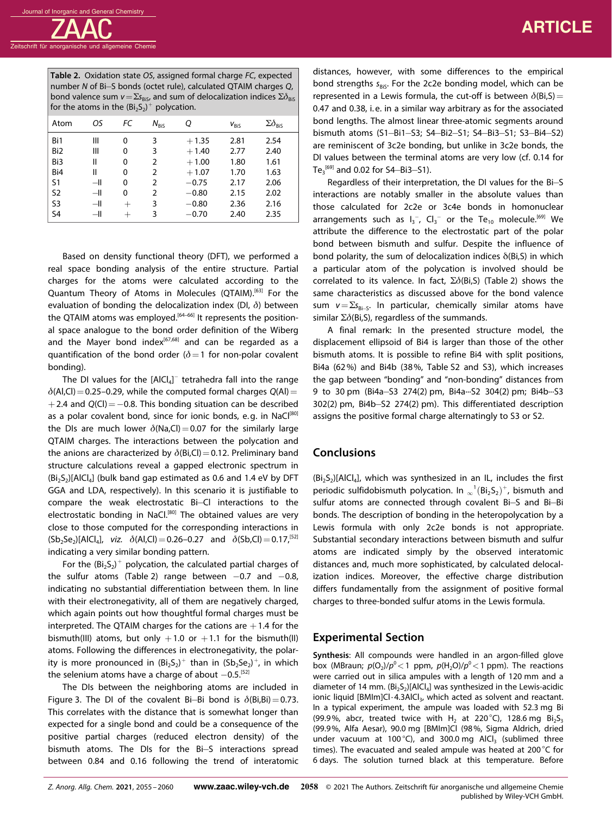# **ARTICLE**

**Table 2.** Oxidation state *OS*, assigned formal charge *FC*, expected number *N* of Bi-S bonds (octet rule), calculated QTAIM charges *Q*, bond valence sum  $v = \sum s_{BIS}$ , and sum of delocalization indices  $\Sigma \delta_{BIS}$ for the atoms in the  $(\text{Bi}_2\text{S}_2)^+$  polycation.

| Atom            | OS             | FC                 | $N_{\rm Bis}$ | Q       | $V_{\rm{B}iS}$ | $\Sigma \delta_{\rm Bis}$ |
|-----------------|----------------|--------------------|---------------|---------|----------------|---------------------------|
| Bi1             | Ш              | 0                  | 3             | $+1.35$ | 2.81           | 2.54                      |
| Bi <sub>2</sub> | Ш              | 0                  | 3             | $+1.40$ | 2.77           | 2.40                      |
| Bi3             | Ш              | 0                  | 2             | $+1.00$ | 1.80           | 1.61                      |
| Bi4             | Ш              | 0                  | 2             | $+1.07$ | 1.70           | 1.63                      |
| S <sub>1</sub>  | $-\mathsf{II}$ | 0                  | 2             | $-0.75$ | 2.17           | 2.06                      |
| S <sub>2</sub>  | $-\mathsf{II}$ | 0                  | 2             | $-0.80$ | 2.15           | 2.02                      |
| S <sub>3</sub>  | $-$ II         | $\hspace{0.1mm} +$ | 3             | $-0.80$ | 2.36           | 2.16                      |
| S <sub>4</sub>  | $-\mathsf{II}$ | $^+$               | 3             | $-0.70$ | 2.40           | 2.35                      |

Based on density functional theory (DFT), we performed a real space bonding analysis of the entire structure. Partial charges for the atoms were calculated according to the Quantum Theory of Atoms in Molecules (QTAIM).<sup>[63]</sup> For the evaluation of bonding the delocalization index (DI, *δ*) between the QTAIM atoms was employed.<sup>[64-66]</sup> It represents the positional space analogue to the bond order definition of the Wiberg and the Mayer bond index<sup>[67,68]</sup> and can be regarded as a quantification of the bond order (*δ*=1 for non-polar covalent bonding).

The DI values for the  $[AlCl<sub>4</sub>]$ <sup>-</sup> tetrahedra fall into the range *δ*(Al,Cl)=0.25–0.29, while the computed formal charges *Q*(Al)=  $+2.4$  and  $Q(Cl)=-0.8$ . This bonding situation can be described as a polar covalent bond, since for ionic bonds, e.g. in NaCl<sup>[80]</sup> the DIs are much lower  $\delta$ (Na,Cl) = 0.07 for the similarly large QTAIM charges. The interactions between the polycation and the anions are characterized by  $\delta$ (Bi,Cl) = 0.12. Preliminary band structure calculations reveal a gapped electronic spectrum in  $(Bi<sub>2</sub>S<sub>2</sub>)[A|Cl<sub>4</sub>]$  (bulk band gap estimated as 0.6 and 1.4 eV by DFT GGA and LDA, respectively). In this scenario it is justifiable to compare the weak electrostatic Bi-Cl interactions to the electrostatic bonding in NaCl.<sup>[80]</sup> The obtained values are very close to those computed for the corresponding interactions in  $(Sb_2Se_2)[AlCl_4]$ , *viz.*  $\delta$ (Al,Cl) = 0.26–0.27 and  $\delta$ (Sb,Cl) = 0.17,<sup>[52]</sup> indicating a very similar bonding pattern.

For the  $({\sf Bi}_2{\sf S}_2)^+$  polycation, the calculated partial charges of the sulfur atoms (Table 2) range between  $-0.7$  and  $-0.8$ , indicating no substantial differentiation between them. In line with their electronegativity, all of them are negatively charged, which again points out how thoughtful formal charges must be interpreted. The QTAIM charges for the cations are  $+1.4$  for the bismuth(III) atoms, but only  $+1.0$  or  $+1.1$  for the bismuth(II) atoms. Following the differences in electronegativity, the polarity is more pronounced in  $({\sf Bi}_2{\sf S}_2)^+$  than in  $({\sf Sb}_2{\sf Se}_2)^+$ , in which the selenium atoms have a charge of about  $-0.5$ .<sup>[52]</sup>

The DIs between the neighboring atoms are included in Figure 3. The DI of the covalent Bi-Bi bond is  $\delta$ (Bi,Bi) = 0.73. This correlates with the distance that is somewhat longer than expected for a single bond and could be a consequence of the positive partial charges (reduced electron density) of the bismuth atoms. The DIs for the Bi-S interactions spread between 0.84 and 0.16 following the trend of interatomic distances, however, with some differences to the empirical bond strengths *s<sub>BiS</sub>*. For the 2c2e bonding model, which can be represented in a Lewis formula, the cut-off is between  $\delta$ (Bi,S) = 0.47 and 0.38, i. e. in a similar way arbitrary as for the associated bond lengths. The almost linear three-atomic segments around bismuth atoms (S1-Bi1-S3; S4-Bi2-S1; S4-Bi3-S1; S3-Bi4-S2) are reminiscent of 3c2e bonding, but unlike in 3c2e bonds, the DI values between the terminal atoms are very low (cf. 0.14 for  $Te_3^{[69]}$  and 0.02 for S4–Bi3–S1).

Regardless of their interpretation, the DI values for the Bi-S interactions are notably smaller in the absolute values than those calculated for 2c2e or 3c4e bonds in homonuclear arrangements such as  $I_3^-$ , Cl<sub>3</sub><sup>-</sup> or the Te<sub>10</sub> molecule.<sup>[69]</sup> We attribute the difference to the electrostatic part of the polar bond between bismuth and sulfur. Despite the influence of bond polarity, the sum of delocalization indices  $\delta$ (Bi,S) in which a particular atom of the polycation is involved should be correlated to its valence. In fact, Σ*δ*(Bi,S) (Table 2) shows the same characteristics as discussed above for the bond valence sum  $v = \sum_{s_{B_i-S}}$ . In particular, chemically similar atoms have similar Σ*δ*(Bi,S), regardless of the summands.

A final remark: In the presented structure model, the displacement ellipsoid of Bi4 is larger than those of the other bismuth atoms. It is possible to refine Bi4 with split positions, Bi4a (62%) and Bi4b (38%, Table S2 and S3), which increases the gap between "bonding" and "non-bonding" distances from 9 to 30 pm (Bi4a-S3 274(2) pm, Bi4a-·· S2 304(2) pm; Bi4b-·· S3 302(2) pm, Bi4b-S2 274(2) pm). This differentiated description assigns the positive formal charge alternatingly to S3 or S2.

# **Conclusions**

 $(Bi<sub>2</sub>S<sub>2</sub>)[AICl<sub>4</sub>]$ , which was synthesized in an IL, includes the first periodic sulfidobismuth polycation. In  ${}_{\infty}^{-1}$ (Bi<sub>2</sub>S<sub>2</sub>)<sup>+</sup>, bismuth and sulfur atoms are connected through covalent Bi-S and Bi-Bi bonds. The description of bonding in the heteropolycation by a Lewis formula with only 2c2e bonds is not appropriate. Substantial secondary interactions between bismuth and sulfur atoms are indicated simply by the observed interatomic distances and, much more sophisticated, by calculated delocalization indices. Moreover, the effective charge distribution differs fundamentally from the assignment of positive formal charges to three-bonded sulfur atoms in the Lewis formula.

# **Experimental Section**

**Synthesis**: All compounds were handled in an argon-filled glove box (MBraun;  $p(O_2)/p^0 < 1$  ppm,  $p(H_2O)/p^0 < 1$  ppm). The reactions were carried out in silica ampules with a length of 120 mm and a diameter of 14 mm.  $(Bi_5S_2)[A|Cl_4]$  was synthesized in the Lewis-acidic ionic liquid  $[BMlm]Cl·4.3AlCl<sub>3</sub>$ , which acted as solvent and reactant. In a typical experiment, the ampule was loaded with 52.3 mg Bi (99.9%, abcr, treated twice with H<sub>2</sub> at 220 °C), 128.6 mg Bi<sub>2</sub>S<sub>3</sub> (99.9%, Alfa Aesar), 90.0 mg [BMIm]Cl (98%, Sigma Aldrich, dried under vacuum at 100 $^{\circ}$ C), and 300.0 mg AlCl<sub>3</sub> (sublimed three times). The evacuated and sealed ampule was heated at 200 °C for 6 days. The solution turned black at this temperature. Before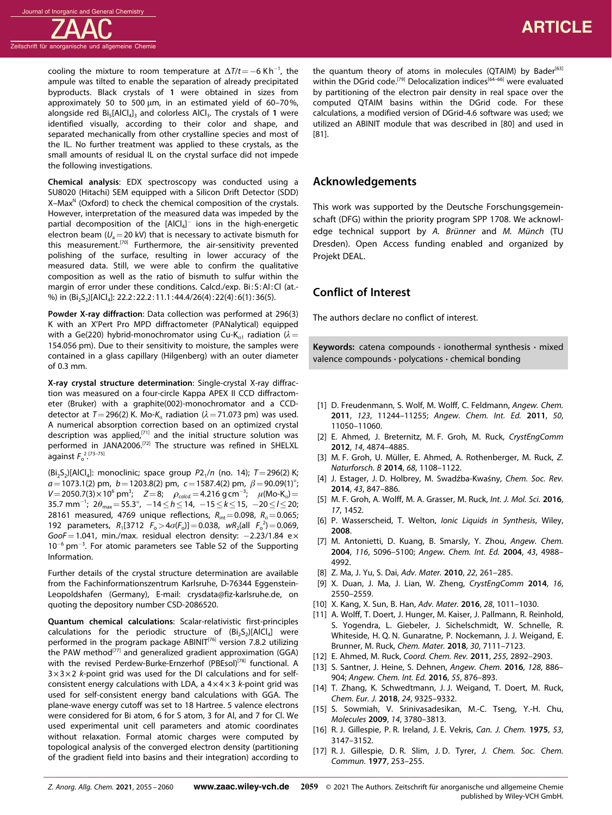

cooling the mixture to room temperature at  $\Delta T/t = -6$  Kh<sup>-1</sup>, the ampule was tilted to enable the separation of already precipitated byproducts. Black crystals of **1** were obtained in sizes from approximately 50 to 500 μm, in an estimated yield of 60–70%, alongside red Bi<sub>5</sub>[AlCl<sub>4</sub>]<sub>3</sub> and colorless AlCl<sub>3</sub>. The crystals of 1 were identified visually, according to their color and shape, and separated mechanically from other crystalline species and most of the IL. No further treatment was applied to these crystals, as the small amounts of residual IL on the crystal surface did not impede the following investigations.

**Chemical analysis**: EDX spectroscopy was conducted using a SU8020 (Hitachi) SEM equipped with a Silicon Drift Detector (SDD) X-Max<sup>N</sup> (Oxford) to check the chemical composition of the crystals. However, interpretation of the measured data was impeded by the partial decomposition of the  $[AlCl<sub>4</sub>]<sup>-</sup>$  ions in the high-energetic electron beam ( $U_a$  = 20 kV) that is necessary to activate bismuth for this measurement.<sup>[70]</sup> Furthermore, the air-sensitivity prevented polishing of the surface, resulting in lower accuracy of the measured data. Still, we were able to confirm the qualitative composition as well as the ratio of bismuth to sulfur within the margin of error under these conditions. Calcd./exp. Bi:S:Al:Cl (at.-%) in (Bi<sub>2</sub>S<sub>2</sub>)[AlCl<sub>4</sub>]: 22.2:22.2:11.1:44.4/26(4):22(4):6(1):36(5).

**Powder X-ray diffraction**: Data collection was performed at 296(3) K with an X'Pert Pro MPD diffractometer (PANalytical) equipped with a Ge(220) hybrid-monochromator using Cu-K<sub>α1</sub> radiation ( $λ =$ 154.056 pm). Due to their sensitivity to moisture, the samples were contained in a glass capillary (Hilgenberg) with an outer diameter of 0.3 mm.

**X-ray crystal structure determination**: Single-crystal X-ray diffraction was measured on a four-circle Kappa APEX II CCD diffractometer (Bruker) with a graphite(002)-monochromator and a CCDdetector at  $T=296(2)$  K. Mo- $K_a$  radiation ( $\lambda=71.073$  pm) was used. A numerical absorption correction based on an optimized crystal description was applied,<sup>[71]</sup> and the initial structure solution was performed in JANA2006.<sup>[72]</sup> The structure was refined in SHELXL against  $F_o^2$ .  $[73-75]$ 

(Bi<sub>2</sub>S<sub>2</sub>)[AlCl<sub>4</sub>]: monoclinic; space group *P*2<sub>1</sub>/*n* (no. 14); *T* = 296(2) K; *a*=1073.1(2) pm, *b*=1203.8(2) pm, *c*=1587.4(2) pm, *β*=90.09(1)°;  $V = 2050.7$ (3) $\times$  10<sup>6</sup> pm<sup>3</sup>;  $Z = 8$ ;  $\rho_{\textit{calcd}} = 4.216$  g cm<sup>-3</sup>;  $\mu$ (Mo-K<sub>α</sub>) = 35.7 mm<sup>−1</sup>; 2 $\theta_{\text{max}}$ =55.3°, -14 ≤ h ≤ 14, -15 ≤ k ≤ 15, -20 ≤ l ≤ 20; 28161 measured, 4769 unique reflections,  $R_{int}=0.098$ ,  $R_{g}=0.065$ ; 192 parameters,  $R_1$ [3712  $F_0 > 4\sigma(F_0)$ ] = 0.038,  $wR_2$ (all  $F_0^2$ ) = 0.069,  $GooF = 1.041$ , min./max. residual electron density:  $-2.23/1.84$  ex  $10^{-6}$  pm<sup>-3</sup>. For atomic parameters see Table S2 of the Supporting Information.

Further details of the crystal structure determination are available from the Fachinformationszentrum Karlsruhe, D-76344 Eggenstein-Leopoldshafen (Germany), E-mail: crysdata@fiz-karlsruhe.de, on quoting the depository number CSD-2086520.

**Quantum chemical calculations**: Scalar-relativistic first-principles calculations for the periodic structure of  $(Bi<sub>2</sub>S<sub>2</sub>)[A|Cl<sub>4</sub>]$  were performed in the program package ABINIT<sup>[76]</sup> version 7.8.2 utilizing the PAW method<sup>[77]</sup> and generalized gradient approximation (GGA) with the revised Perdew-Burke-Ernzerhof (PBEsol)<sup>[78]</sup> functional. A 3×3×2 *k*-point grid was used for the DI calculations and for selfconsistent energy calculations with LDA, a 4×4×3 *k*-point grid was used for self-consistent energy band calculations with GGA. The plane-wave energy cutoff was set to 18 Hartree. 5 valence electrons were considered for Bi atom, 6 for S atom, 3 for Al, and 7 for Cl. We used experimental unit cell parameters and atomic coordinates without relaxation. Formal atomic charges were computed by topological analysis of the converged electron density (partitioning of the gradient field into basins and their integration) according to

the quantum theory of atoms in molecules (OTAIM) by Bader<sup>[63]</sup> within the DGrid code.<sup>[79]</sup> Delocalization indices<sup>[64-66]</sup> were evaluated by partitioning of the electron pair density in real space over the computed QTAIM basins within the DGrid code. For these calculations, a modified version of DGrid-4.6 software was used; we utilized an ABINIT module that was described in [80] and used in [81].

# **Acknowledgements**

This work was supported by the Deutsche Forschungsgemeinschaft (DFG) within the priority program SPP 1708. We acknowledge technical support by *A. Brünner* and *M. Münch* (TU Dresden). Open Access funding enabled and organized by Projekt DEAL.

# **Conflict of Interest**

The authors declare no conflict of interest.

**Keywords:** catena compounds **·** ionothermal synthesis **·** mixed valence compounds **·** polycations **·** chemical bonding

- [1] D. Freudenmann, S. Wolf, M. Wolff, C. Feldmann, *[Angew.](https://doi.org/10.1002/ange.201100904) Chem.* **2011**, *123*, [11244–11255](https://doi.org/10.1002/ange.201100904); *[Angew.](https://doi.org/10.1002/anie.201100904) Chem. Int. Ed.* **2011**, *50*, [11050–11060](https://doi.org/10.1002/anie.201100904).
- [2] E. Ahmed, J. Breternitz, M. F. Groh, M. Ruck, *[CrystEngComm](https://doi.org/10.1039/c2ce25166c)* **2012**, *14*, [4874–4885](https://doi.org/10.1039/c2ce25166c).
- [3] M. F. Groh, U. Müller, E. Ahmed, A. Rothenberger, M. Ruck, *Z. Naturforsch. B* **2014**, *68*, 1108–1122.
- [4] J. Estager, J. D. Holbrey, M. Swadźba-Kwaśny, *[Chem.](https://doi.org/10.1039/C3CS60310E) Soc. Rev.* **2014**, *43*, [847–886](https://doi.org/10.1039/C3CS60310E).
- [5] M. F. Groh, A. Wolff, M. A. Grasser, M. Ruck, *Int. J. Mol. Sci.* **[2016](https://doi.org/10.3390/ijms17091452)**, *17*, [1452](https://doi.org/10.3390/ijms17091452).
- [6] P. Wasserscheid, T. Welton, *Ionic Liquids in Synthesis*, Wiley, **2008**.
- [7] M. Antonietti, D. Kuang, B. Smarsly, Y. Zhou, *[Angew.](https://doi.org/10.1002/ange.200460091) Chem.* **2004**, *116*, [5096–5100;](https://doi.org/10.1002/ange.200460091) *[Angew.](https://doi.org/10.1002/anie.200460091) Chem. Int. Ed.* **2004**, *43*, 4988– [4992.](https://doi.org/10.1002/anie.200460091)
- [8] Z. Ma, J. Yu, S. Dai, *Adv. Mater.* **2010**, *22*, [261–285](https://doi.org/10.1002/adma.200900603).
- [9] X. Duan, J. Ma, J. Lian, W. Zheng, *[CrystEngComm](https://doi.org/10.1039/c3ce41203b)* **2014**, *16*, [2550–2559.](https://doi.org/10.1039/c3ce41203b)
- [10] X. Kang, X. Sun, B. Han, *Adv. Mater.* **2016**, *28*, [1011–1030.](https://doi.org/10.1002/adma.201502924)
- [11] A. Wolff, T. Doert, J. Hunger, M. Kaiser, J. Pallmann, R. Reinhold, S. Yogendra, L. Giebeler, J. Sichelschmidt, W. Schnelle, R. Whiteside, H. Q. N. Gunaratne, P. Nockemann, J. J. Weigand, E. Brunner, M. Ruck, *Chem. Mater.* **2018**, *30*, [7111–7123](https://doi.org/10.1021/acs.chemmater.8b02950).
- [12] E. Ahmed, M. Ruck, *Coord. Chem. Rev.* **2011**, *255*, [2892–2903](https://doi.org/10.1016/j.ccr.2011.06.011).
- [13] S. Santner, J. Heine, S. Dehnen, *[Angew.](https://doi.org/10.1002/ange.201507736) Chem.* **2016**, *128*, 886– [904;](https://doi.org/10.1002/ange.201507736) *Angew. Chem. Int. Ed.* **2016**, *55*, [876–893](https://doi.org/10.1002/anie.201507736).
- [14] T. Zhang, K. Schwedtmann, J. J. Weigand, T. Doert, M. Ruck, *Chem. Eur. J.* **2018**, *24*, [9325–9332.](https://doi.org/10.1002/chem.201800320)
- [15] S. Sowmiah, V. Srinivasadesikan, M.-C. Tseng, Y.-H. Chu, *Molecules* **2009**, *14*, [3780–3813.](https://doi.org/10.3390/molecules14093780)
- [16] R. J. Gillespie, P. R. Ireland, J. E. Vekris, *Can. J. [Chem.](https://doi.org/10.1139/v75-448)* **1975**, *53*, [3147–3152.](https://doi.org/10.1139/v75-448)
- [17] R. J. Gillespie, D. R. Slim, J. D. Tyrer, *J. [Chem.](https://doi.org/10.1039/C39770000253) Soc. Chem. [Commun.](https://doi.org/10.1039/C39770000253)* **1977**, 253–255.